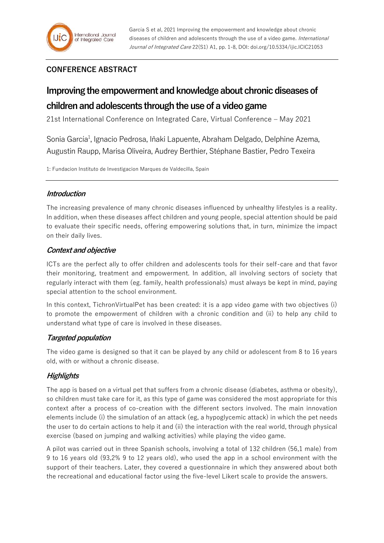## **CONFERENCE ABSTRACT**

# **Improving the empowerment and knowledge about chronic diseases of children and adolescents through the use of a video game**

21st International Conference on Integrated Care, Virtual Conference – May 2021

Sonia García<sup>1</sup>, Ignacio Pedrosa, Iñaki Lapuente, Abraham Delgado, Delphine Azema, Augustin Raupp, Marisa Oliveira, Audrey Berthier, Stéphane Bastier, Pedro Texeira

1: Fundacion Instituto de Investigacion Marques de Valdecilla, Spain

### **Introduction**

The increasing prevalence of many chronic diseases influenced by unhealthy lifestyles is a reality. In addition, when these diseases affect children and young people, special attention should be paid to evaluate their specific needs, offering empowering solutions that, in turn, minimize the impact on their daily lives.

## **Context and objective**

ICTs are the perfect ally to offer children and adolescents tools for their self-care and that favor their monitoring, treatment and empowerment. In addition, all involving sectors of society that regularly interact with them (eg. family, health professionals) must always be kept in mind, paying special attention to the school environment.

In this context, TichronVirtualPet has been created: it is a app video game with two objectives (i) to promote the empowerment of children with a chronic condition and (ii) to help any child to understand what type of care is involved in these diseases.

#### **Targeted population**

The video game is designed so that it can be played by any child or adolescent from 8 to 16 years old, with or without a chronic disease.

## **Highlights**

The app is based on a virtual pet that suffers from a chronic disease (diabetes, asthma or obesity), so children must take care for it, as this type of game was considered the most appropriate for this context after a process of co-creation with the different sectors involved. The main innovation elements include (i) the simulation of an attack (eg, a hypoglycemic attack) in which the pet needs the user to do certain actions to help it and (ii) the interaction with the real world, through physical exercise (based on jumping and walking activities) while playing the video game.

A pilot was carried out in three Spanish schools, involving a total of 132 children (56,1 male) from 9 to 16 years old (93,2% 9 to 12 years old), who used the app in a school environment with the support of their teachers. Later, they covered a questionnaire in which they answered about both the recreational and educational factor using the five-level Likert scale to provide the answers.